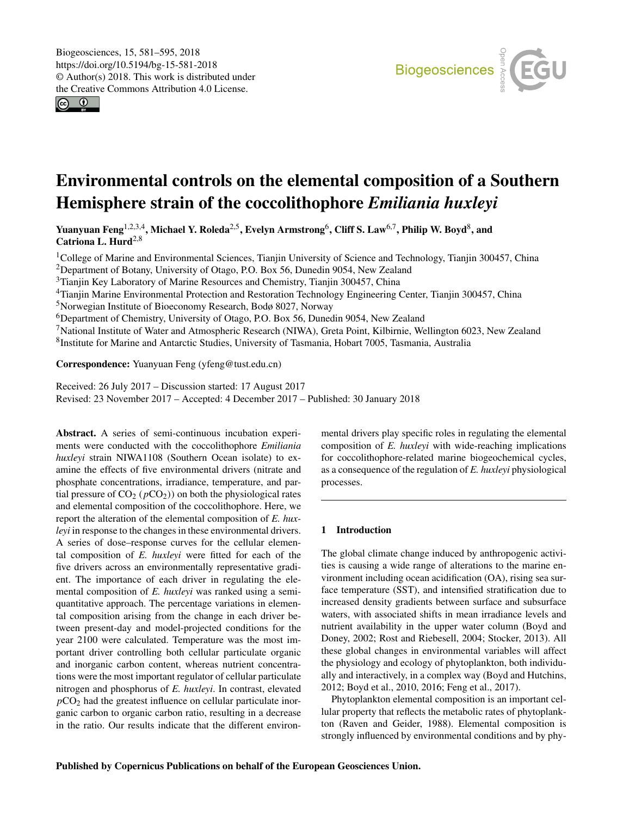<span id="page-0-1"></span> $\circ$   $\circ$ 



# Environmental controls on the elemental composition of a Southern Hemisphere strain of the coccolithophore *Emiliania huxleyi*

Yuanyuan Feng $^{1,2,3,4}$  $^{1,2,3,4}$  $^{1,2,3,4}$ , Michael Y. Roleda $^{2,5}$  $^{2,5}$  $^{2,5}$ , Evelyn Armstrong $^6$  $^6$ , Cliff S. Law $^{6,7}$  $^{6,7}$  $^{6,7}$ , Philip W. Boyd $^8$  $^8$ , and Catriona L. Hurd<sup>[2,8](#page-0-0)</sup>

<sup>1</sup>College of Marine and Environmental Sciences, Tianjin University of Science and Technology, Tianjin 300457, China <sup>2</sup>Department of Botany, University of Otago, P.O. Box 56, Dunedin 9054, New Zealand

<sup>3</sup>Tianjin Key Laboratory of Marine Resources and Chemistry, Tianjin 300457, China

<sup>4</sup>Tianjin Marine Environmental Protection and Restoration Technology Engineering Center, Tianjin 300457, China

<sup>5</sup>Norwegian Institute of Bioeconomy Research, Bodø 8027, Norway

<sup>6</sup>Department of Chemistry, University of Otago, P.O. Box 56, Dunedin 9054, New Zealand

<sup>7</sup>National Institute of Water and Atmospheric Research (NIWA), Greta Point, Kilbirnie, Wellington 6023, New Zealand 8 Institute for Marine and Antarctic Studies, University of Tasmania, Hobart 7005, Tasmania, Australia

Correspondence: Yuanyuan Feng (yfeng@tust.edu.cn)

Received: 26 July 2017 – Discussion started: 17 August 2017 Revised: 23 November 2017 – Accepted: 4 December 2017 – Published: 30 January 2018

<span id="page-0-0"></span>Abstract. A series of semi-continuous incubation experiments were conducted with the coccolithophore *Emiliania huxleyi* strain NIWA1108 (Southern Ocean isolate) to examine the effects of five environmental drivers (nitrate and phosphate concentrations, irradiance, temperature, and partial pressure of  $CO_2$  ( $pCO_2$ )) on both the physiological rates and elemental composition of the coccolithophore. Here, we report the alteration of the elemental composition of *E. huxleyi* in response to the changes in these environmental drivers. A series of dose–response curves for the cellular elemental composition of *E. huxleyi* were fitted for each of the five drivers across an environmentally representative gradient. The importance of each driver in regulating the elemental composition of *E. huxleyi* was ranked using a semiquantitative approach. The percentage variations in elemental composition arising from the change in each driver between present-day and model-projected conditions for the year 2100 were calculated. Temperature was the most important driver controlling both cellular particulate organic and inorganic carbon content, whereas nutrient concentrations were the most important regulator of cellular particulate nitrogen and phosphorus of *E. huxleyi*. In contrast, elevated  $pCO<sub>2</sub>$  had the greatest influence on cellular particulate inorganic carbon to organic carbon ratio, resulting in a decrease in the ratio. Our results indicate that the different environmental drivers play specific roles in regulating the elemental composition of *E. huxleyi* with wide-reaching implications for coccolithophore-related marine biogeochemical cycles, as a consequence of the regulation of *E. huxleyi* physiological processes.

# 1 Introduction

The global climate change induced by anthropogenic activities is causing a wide range of alterations to the marine environment including ocean acidification (OA), rising sea surface temperature (SST), and intensified stratification due to increased density gradients between surface and subsurface waters, with associated shifts in mean irradiance levels and nutrient availability in the upper water column (Boyd and Doney, 2002; Rost and Riebesell, 2004; Stocker, 2013). All these global changes in environmental variables will affect the physiology and ecology of phytoplankton, both individually and interactively, in a complex way (Boyd and Hutchins, 2012; Boyd et al., 2010, 2016; Feng et al., 2017).

Phytoplankton elemental composition is an important cellular property that reflects the metabolic rates of phytoplankton (Raven and Geider, 1988). Elemental composition is strongly influenced by environmental conditions and by phy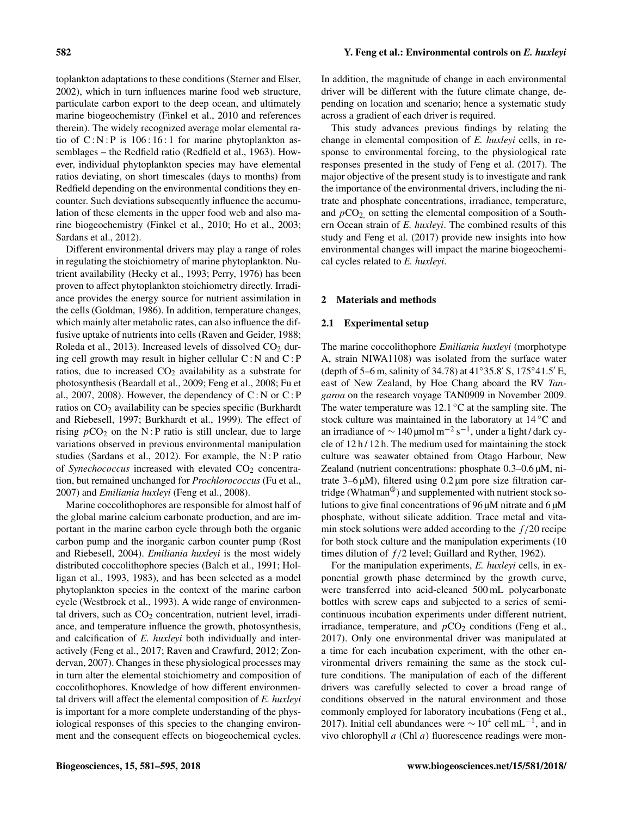toplankton adaptations to these conditions (Sterner and Elser, 2002), which in turn influences marine food web structure, particulate carbon export to the deep ocean, and ultimately marine biogeochemistry (Finkel et al., 2010 and references therein). The widely recognized average molar elemental ratio of  $C : N : P$  is 106:16:1 for marine phytoplankton assemblages – the Redfield ratio (Redfield et al., 1963). However, individual phytoplankton species may have elemental ratios deviating, on short timescales (days to months) from Redfield depending on the environmental conditions they encounter. Such deviations subsequently influence the accumulation of these elements in the upper food web and also marine biogeochemistry (Finkel et al., 2010; Ho et al., 2003; Sardans et al., 2012).

Different environmental drivers may play a range of roles in regulating the stoichiometry of marine phytoplankton. Nutrient availability (Hecky et al., 1993; Perry, 1976) has been proven to affect phytoplankton stoichiometry directly. Irradiance provides the energy source for nutrient assimilation in the cells (Goldman, 1986). In addition, temperature changes, which mainly alter metabolic rates, can also influence the diffusive uptake of nutrients into cells (Raven and Geider, 1988; Roleda et al., 2013). Increased levels of dissolved  $CO<sub>2</sub>$  during cell growth may result in higher cellular  $C: N$  and  $C: P$ ratios, due to increased  $CO<sub>2</sub>$  availability as a substrate for photosynthesis (Beardall et al., 2009; Feng et al., 2008; Fu et al., 2007, 2008). However, the dependency of  $C : N$  or  $C : P$ ratios on  $CO<sub>2</sub>$  availability can be species specific (Burkhardt and Riebesell, 1997; Burkhardt et al., 1999). The effect of rising  $pCO<sub>2</sub>$  on the N : P ratio is still unclear, due to large variations observed in previous environmental manipulation studies (Sardans et al., 2012). For example, the N : P ratio of *Synechococcus* increased with elevated CO<sub>2</sub> concentration, but remained unchanged for *Prochlorococcus* (Fu et al., 2007) and *Emiliania huxleyi* (Feng et al., 2008).

Marine coccolithophores are responsible for almost half of the global marine calcium carbonate production, and are important in the marine carbon cycle through both the organic carbon pump and the inorganic carbon counter pump (Rost and Riebesell, 2004). *Emiliania huxleyi* is the most widely distributed coccolithophore species (Balch et al., 1991; Holligan et al., 1993, 1983), and has been selected as a model phytoplankton species in the context of the marine carbon cycle (Westbroek et al., 1993). A wide range of environmental drivers, such as  $CO<sub>2</sub>$  concentration, nutrient level, irradiance, and temperature influence the growth, photosynthesis, and calcification of *E. huxleyi* both individually and interactively (Feng et al., 2017; Raven and Crawfurd, 2012; Zondervan, 2007). Changes in these physiological processes may in turn alter the elemental stoichiometry and composition of coccolithophores. Knowledge of how different environmental drivers will affect the elemental composition of *E. huxleyi* is important for a more complete understanding of the physiological responses of this species to the changing environment and the consequent effects on biogeochemical cycles. In addition, the magnitude of change in each environmental driver will be different with the future climate change, depending on location and scenario; hence a systematic study across a gradient of each driver is required.

This study advances previous findings by relating the change in elemental composition of *E. huxleyi* cells, in response to environmental forcing, to the physiological rate responses presented in the study of Feng et al. (2017). The major objective of the present study is to investigate and rank the importance of the environmental drivers, including the nitrate and phosphate concentrations, irradiance, temperature, and  $pCO<sub>2</sub>$  on setting the elemental composition of a Southern Ocean strain of *E. huxleyi*. The combined results of this study and Feng et al. (2017) provide new insights into how environmental changes will impact the marine biogeochemical cycles related to *E. huxleyi*.

### 2 Materials and methods

## 2.1 Experimental setup

The marine coccolithophore *Emiliania huxleyi* (morphotype A, strain NIWA1108) was isolated from the surface water (depth of 5–6 m, salinity of 34.78) at  $41°35.8'$  S,  $175°41.5'E$ , east of New Zealand, by Hoe Chang aboard the RV *Tangaroa* on the research voyage TAN0909 in November 2009. The water temperature was  $12.1 \degree C$  at the sampling site. The stock culture was maintained in the laboratory at 14 ◦C and an irradiance of  $\sim$  140 µmol m<sup>-2</sup> s<sup>-1</sup>, under a light / dark cycle of  $12 h / 12 h$ . The medium used for maintaining the stock culture was seawater obtained from Otago Harbour, New Zealand (nutrient concentrations: phosphate 0.3–0.6 µM, nitrate  $3-6 \mu M$ ), filtered using 0.2  $\mu$ m pore size filtration cartridge (Whatman<sup>®</sup>) and supplemented with nutrient stock solutions to give final concentrations of 96 µM nitrate and 6 µM phosphate, without silicate addition. Trace metal and vitamin stock solutions were added according to the  $f/20$  recipe for both stock culture and the manipulation experiments (10 times dilution of  $f/2$  level; Guillard and Ryther, 1962).

For the manipulation experiments, *E. huxleyi* cells, in exponential growth phase determined by the growth curve, were transferred into acid-cleaned 500 mL polycarbonate bottles with screw caps and subjected to a series of semicontinuous incubation experiments under different nutrient, irradiance, temperature, and  $pCO<sub>2</sub>$  conditions (Feng et al., 2017). Only one environmental driver was manipulated at a time for each incubation experiment, with the other environmental drivers remaining the same as the stock culture conditions. The manipulation of each of the different drivers was carefully selected to cover a broad range of conditions observed in the natural environment and those commonly employed for laboratory incubations (Feng et al., 2017). Initial cell abundances were  $\sim 10^4$  cell mL<sup>-1</sup>, and in vivo chlorophyll a (Chl a) fluorescence readings were mon-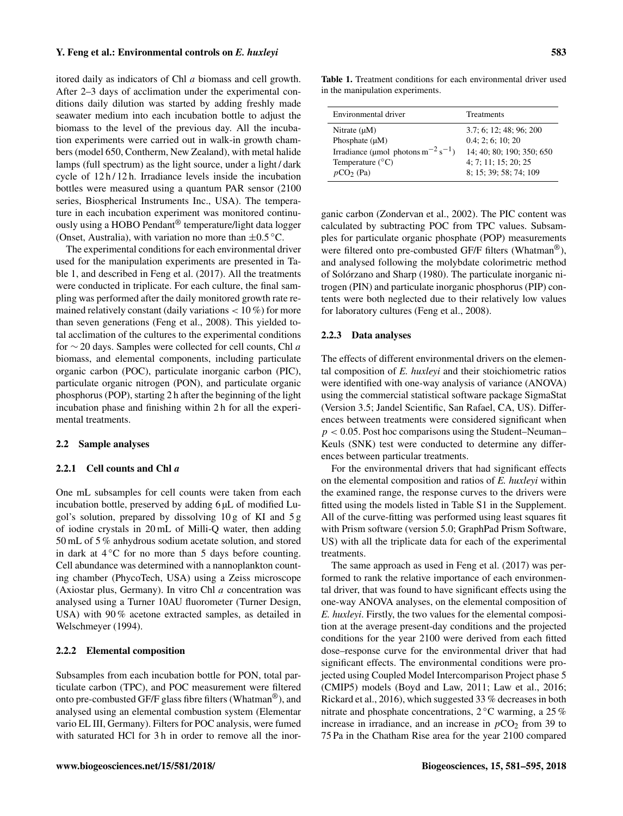itored daily as indicators of Chl a biomass and cell growth. After 2–3 days of acclimation under the experimental conditions daily dilution was started by adding freshly made seawater medium into each incubation bottle to adjust the biomass to the level of the previous day. All the incubation experiments were carried out in walk-in growth chambers (model 650, Contherm, New Zealand), with metal halide lamps (full spectrum) as the light source, under a light / dark cycle of  $12 h / 12 h$ . Irradiance levels inside the incubation bottles were measured using a quantum PAR sensor (2100 series, Biospherical Instruments Inc., USA). The temperature in each incubation experiment was monitored continuously using a HOBO Pendant® temperature/light data logger (Onset, Australia), with variation no more than  $\pm 0.5$  °C.

The experimental conditions for each environmental driver used for the manipulation experiments are presented in Table 1, and described in Feng et al. (2017). All the treatments were conducted in triplicate. For each culture, the final sampling was performed after the daily monitored growth rate remained relatively constant (daily variations  $< 10\%$ ) for more than seven generations (Feng et al., 2008). This yielded total acclimation of the cultures to the experimental conditions for  $\sim$  20 days. Samples were collected for cell counts, Chl a biomass, and elemental components, including particulate organic carbon (POC), particulate inorganic carbon (PIC), particulate organic nitrogen (PON), and particulate organic phosphorus (POP), starting 2 h after the beginning of the light incubation phase and finishing within 2 h for all the experimental treatments.

#### 2.2 Sample analyses

#### 2.2.1 Cell counts and Chl a

One mL subsamples for cell counts were taken from each incubation bottle, preserved by adding 6 µL of modified Lugol's solution, prepared by dissolving 10 g of KI and 5 g of iodine crystals in 20 mL of Milli-Q water, then adding 50 mL of 5 % anhydrous sodium acetate solution, and stored in dark at  $4^{\circ}$ C for no more than 5 days before counting. Cell abundance was determined with a nannoplankton counting chamber (PhycoTech, USA) using a Zeiss microscope (Axiostar plus, Germany). In vitro Chl a concentration was analysed using a Turner 10AU fluorometer (Turner Design, USA) with 90 % acetone extracted samples, as detailed in Welschmeyer (1994).

## 2.2.2 Elemental composition

Subsamples from each incubation bottle for PON, total particulate carbon (TPC), and POC measurement were filtered onto pre-combusted GF/F glass fibre filters (Whatman®), and analysed using an elemental combustion system (Elementar vario EL III, Germany). Filters for POC analysis, were fumed with saturated HCl for 3h in order to remove all the inor-

Table 1. Treatment conditions for each environmental driver used in the manipulation experiments.

| Environmental driver                                       | <b>Treatments</b>         |
|------------------------------------------------------------|---------------------------|
| Nitrate $(\mu M)$                                          | 3.7; 6; 12; 48; 96; 200   |
| Phosphate $(\mu M)$                                        | 0.4:2:6:10:20             |
| Irradiance (µmol photons m <sup>-2</sup> s <sup>-1</sup> ) | 14; 40; 80; 190; 350; 650 |
| Temperature $(^{\circ}C)$                                  | 4: 7: 11: 15: 20: 25      |
| $pCO2$ (Pa)                                                | 8: 15: 39: 58: 74: 109    |

ganic carbon (Zondervan et al., 2002). The PIC content was calculated by subtracting POC from TPC values. Subsamples for particulate organic phosphate (POP) measurements were filtered onto pre-combusted GF/F filters (Whatman<sup>®</sup>), and analysed following the molybdate colorimetric method of Solórzano and Sharp (1980). The particulate inorganic nitrogen (PIN) and particulate inorganic phosphorus (PIP) contents were both neglected due to their relatively low values for laboratory cultures (Feng et al., 2008).

#### 2.2.3 Data analyses

The effects of different environmental drivers on the elemental composition of *E. huxleyi* and their stoichiometric ratios were identified with one-way analysis of variance (ANOVA) using the commercial statistical software package SigmaStat (Version 3.5; Jandel Scientific, San Rafael, CA, US). Differences between treatments were considered significant when  $p < 0.05$ . Post hoc comparisons using the Student–Neuman– Keuls (SNK) test were conducted to determine any differences between particular treatments.

For the environmental drivers that had significant effects on the elemental composition and ratios of *E. huxleyi* within the examined range, the response curves to the drivers were fitted using the models listed in Table S1 in the Supplement. All of the curve-fitting was performed using least squares fit with Prism software (version 5.0; GraphPad Prism Software, US) with all the triplicate data for each of the experimental treatments.

The same approach as used in Feng et al. (2017) was performed to rank the relative importance of each environmental driver, that was found to have significant effects using the one-way ANOVA analyses, on the elemental composition of *E. huxleyi*. Firstly, the two values for the elemental composition at the average present-day conditions and the projected conditions for the year 2100 were derived from each fitted dose–response curve for the environmental driver that had significant effects. The environmental conditions were projected using Coupled Model Intercomparison Project phase 5 (CMIP5) models (Boyd and Law, 2011; Law et al., 2016; Rickard et al., 2016), which suggested 33 % decreases in both nitrate and phosphate concentrations, 2 ◦C warming, a 25 % increase in irradiance, and an increase in  $pCO<sub>2</sub>$  from 39 to 75 Pa in the Chatham Rise area for the year 2100 compared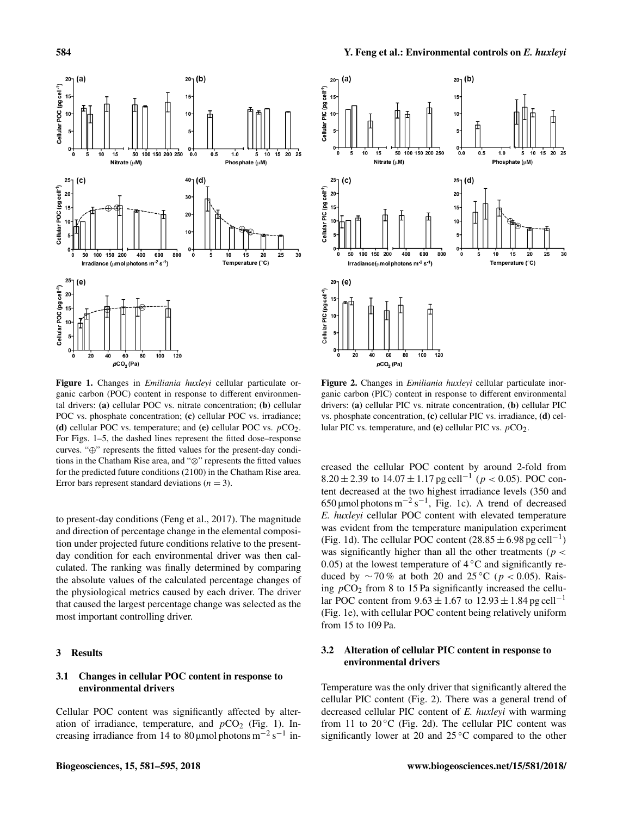

Figure 1. Changes in *Emiliania huxleyi* cellular particulate organic carbon (POC) content in response to different environmental drivers: (a) cellular POC vs. nitrate concentration; (b) cellular POC vs. phosphate concentration; (c) cellular POC vs. irradiance; (d) cellular POC vs. temperature; and (e) cellular POC vs.  $pCO<sub>2</sub>$ . For Figs. 1–5, the dashed lines represent the fitted dose–response curves. "⊕" represents the fitted values for the present-day conditions in the Chatham Rise area, and "⊗" represents the fitted values for the predicted future conditions (2100) in the Chatham Rise area. Error bars represent standard deviations ( $n = 3$ ).

to present-day conditions (Feng et al., 2017). The magnitude and direction of percentage change in the elemental composition under projected future conditions relative to the presentday condition for each environmental driver was then calculated. The ranking was finally determined by comparing the absolute values of the calculated percentage changes of the physiological metrics caused by each driver. The driver that caused the largest percentage change was selected as the most important controlling driver.

## 3 Results

# 3.1 Changes in cellular POC content in response to environmental drivers

Cellular POC content was significantly affected by alteration of irradiance, temperature, and  $pCO<sub>2</sub>$  (Fig. 1). Increasing irradiance from 14 to 80 µmol photons  $m^{-2} s^{-1}$  in-



Figure 2. Changes in *Emiliania huxleyi* cellular particulate inorganic carbon (PIC) content in response to different environmental drivers: (a) cellular PIC vs. nitrate concentration, (b) cellular PIC vs. phosphate concentration, (c) cellular PIC vs. irradiance, (d) cellular PIC vs. temperature, and (e) cellular PIC vs.  $pCO<sub>2</sub>$ .

creased the cellular POC content by around 2-fold from 8.20 ± 2.39 to  $14.07 \pm 1.17$  pg cell<sup>-1</sup> ( $p < 0.05$ ). POC content decreased at the two highest irradiance levels (350 and 650 µmol photons m<sup>-2</sup> s<sup>-1</sup>, Fig. 1c). A trend of decreased *E. huxleyi* cellular POC content with elevated temperature was evident from the temperature manipulation experiment (Fig. 1d). The cellular POC content  $(28.85 \pm 6.98 \text{ pg cell}^{-1})$ was significantly higher than all the other treatments ( $p <$ 0.05) at the lowest temperature of  $4^{\circ}$ C and significantly reduced by  $\sim$  70% at both 20 and 25 °C ( $p$  < 0.05). Raising  $pCO<sub>2</sub>$  from 8 to 15 Pa significantly increased the cellular POC content from  $9.63 \pm 1.67$  to  $12.93 \pm 1.84$  pg cell<sup>-1</sup> (Fig. 1e), with cellular POC content being relatively uniform from 15 to 109 Pa.

# 3.2 Alteration of cellular PIC content in response to environmental drivers

Temperature was the only driver that significantly altered the cellular PIC content (Fig. 2). There was a general trend of decreased cellular PIC content of *E. huxleyi* with warming from 11 to  $20\degree$ C (Fig. 2d). The cellular PIC content was significantly lower at 20 and 25 ◦C compared to the other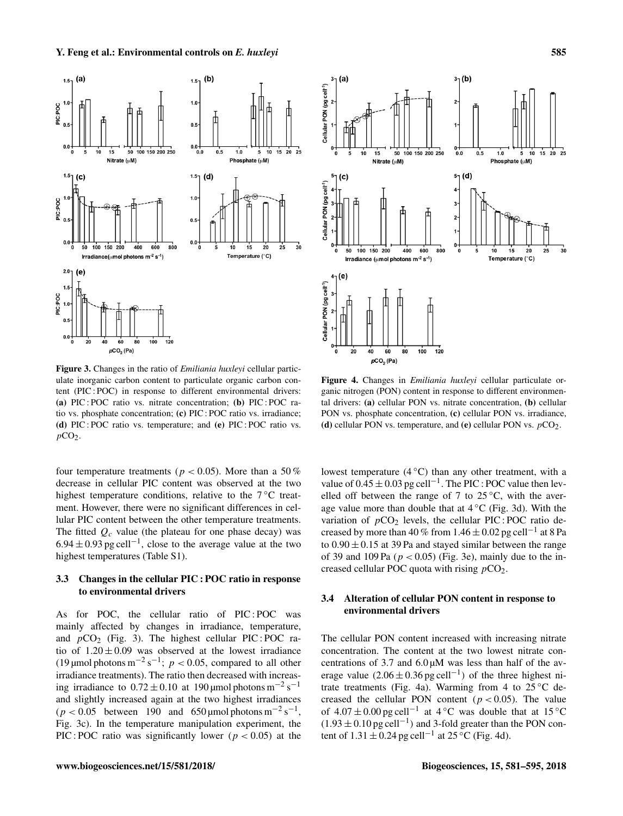

Figure 3. Changes in the ratio of *Emiliania huxleyi* cellular particulate inorganic carbon content to particulate organic carbon content (PIC : POC) in response to different environmental drivers: (a) PIC : POC ratio vs. nitrate concentration; (b) PIC : POC ratio vs. phosphate concentration; (c) PIC : POC ratio vs. irradiance; (d) PIC : POC ratio vs. temperature; and (e) PIC : POC ratio vs.  $pCO<sub>2</sub>$ .

four temperature treatments ( $p < 0.05$ ). More than a 50% decrease in cellular PIC content was observed at the two highest temperature conditions, relative to the  $7^{\circ}$ C treatment. However, there were no significant differences in cellular PIC content between the other temperature treatments. The fitted  $Q_c$  value (the plateau for one phase decay) was  $6.94 \pm 0.93$  pg cell<sup>-1</sup>, close to the average value at the two highest temperatures (Table S1).

# 3.3 Changes in the cellular PIC : POC ratio in response to environmental drivers

As for POC, the cellular ratio of PIC : POC was mainly affected by changes in irradiance, temperature, and  $pCO_2$  (Fig. 3). The highest cellular PIC : POC ratio of  $1.20 \pm 0.09$  was observed at the lowest irradiance (19 µmol photons m<sup>-2</sup> s<sup>-1</sup>;  $p < 0.05$ , compared to all other irradiance treatments). The ratio then decreased with increasing irradiance to  $0.72 \pm 0.10$  at 190 µmol photons m<sup>-2</sup> s<sup>-1</sup> and slightly increased again at the two highest irradiances  $(p < 0.05$  between 190 and 650 µmol photons m<sup>-2</sup> s<sup>-1</sup>, Fig. 3c). In the temperature manipulation experiment, the PIC : POC ratio was significantly lower ( $p < 0.05$ ) at the



Figure 4. Changes in *Emiliania huxleyi* cellular particulate organic nitrogen (PON) content in response to different environmental drivers: (a) cellular PON vs. nitrate concentration, (b) cellular PON vs. phosphate concentration, (c) cellular PON vs. irradiance, (d) cellular PON vs. temperature, and (e) cellular PON vs.  $pCO<sub>2</sub>$ .

lowest temperature  $(4 \degree C)$  than any other treatment, with a value of  $0.45 \pm 0.03$  pg cell<sup>-1</sup>. The PIC : POC value then levelled off between the range of 7 to  $25^{\circ}$ C, with the average value more than double that at  $4 °C$  (Fig. 3d). With the variation of  $pCO<sub>2</sub>$  levels, the cellular PIC : POC ratio decreased by more than 40 % from 1.46  $\pm$  0.02 pg cell<sup>-1</sup> at 8 Pa to  $0.90 \pm 0.15$  at 39 Pa and stayed similar between the range of 39 and 109 Pa ( $p < 0.05$ ) (Fig. 3e), mainly due to the increased cellular POC quota with rising  $pCO<sub>2</sub>$ .

# 3.4 Alteration of cellular PON content in response to environmental drivers

The cellular PON content increased with increasing nitrate concentration. The content at the two lowest nitrate concentrations of  $3.7$  and  $6.0 \mu M$  was less than half of the average value  $(2.06 \pm 0.36 \,\text{pg}\,\text{cell}^{-1})$  of the three highest nitrate treatments (Fig. 4a). Warming from 4 to  $25^{\circ}$ C decreased the cellular PON content ( $p < 0.05$ ). The value of  $4.07 \pm 0.00$  pg cell<sup>-1</sup> at 4 °C was double that at 15 °C  $(1.93 \pm 0.10 \,\text{pg} \,\text{cell}^{-1})$  and 3-fold greater than the PON content of  $1.31 \pm 0.24$  pg cell<sup>-1</sup> at 25 °C (Fig. 4d).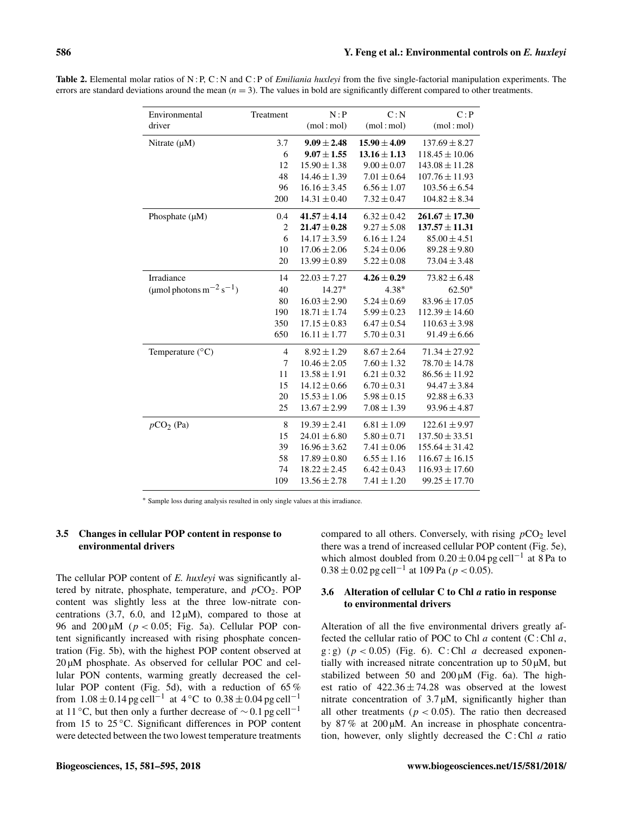| Environmental                   | Treatment      | N : P            | C: N             | C: P               |
|---------------------------------|----------------|------------------|------------------|--------------------|
| driver                          |                | (mol:mol)        | (mol:mol)        | (mol:mol)          |
| Nitrate $(\mu M)$               | 3.7            | $9.09 \pm 2.48$  | $15.90 \pm 4.09$ | $137.69 \pm 8.27$  |
|                                 | 6              | $9.07 \pm 1.55$  | $13.16 \pm 1.13$ | $118.45 \pm 10.06$ |
|                                 | 12             | $15.90 \pm 1.38$ | $9.00 \pm 0.07$  | $143.08 \pm 11.28$ |
|                                 | 48             | $14.46 \pm 1.39$ | $7.01 \pm 0.64$  | $107.76 \pm 11.93$ |
|                                 | 96             | $16.16 \pm 3.45$ | $6.56 \pm 1.07$  | $103.56 \pm 6.54$  |
|                                 | 200            | $14.31 \pm 0.40$ | $7.32 \pm 0.47$  | $104.82 \pm 8.34$  |
| Phosphate $(\mu M)$             | 0.4            | $41.57 \pm 4.14$ | $6.32 \pm 0.42$  | $261.67 \pm 17.30$ |
|                                 | $\overline{2}$ | $21.47 \pm 0.28$ | $9.27 \pm 5.08$  | $137.57 \pm 11.31$ |
|                                 | 6              | $14.17 \pm 3.59$ | $6.16 \pm 1.24$  | $85.00 \pm 4.51$   |
|                                 | 10             | $17.06 \pm 2.06$ | $5.24 \pm 0.06$  | $89.28 \pm 9.80$   |
|                                 | 20             | $13.99 \pm 0.89$ | $5.22 \pm 0.08$  | $73.04 \pm 3.48$   |
| Irradiance                      | 14             | $22.03 \pm 7.27$ | $4.26 \pm 0.29$  | $73.82 \pm 6.48$   |
| (µmol photons $m^{-2} s^{-1}$ ) | 40             | $14.27*$         | $4.38*$          | $62.50*$           |
|                                 | 80             | $16.03 \pm 2.90$ | $5.24 \pm 0.69$  | $83.96 \pm 17.05$  |
|                                 | 190            | $18.71 \pm 1.74$ | $5.99 \pm 0.23$  | $112.39 \pm 14.60$ |
|                                 | 350            | $17.15 \pm 0.83$ | $6.47 \pm 0.54$  | $110.63 \pm 3.98$  |
|                                 | 650            | $16.11 \pm 1.77$ | $5.70 \pm 0.31$  | $91.49 \pm 6.66$   |
| Temperature $(^{\circ}C)$       | $\overline{4}$ | $8.92 \pm 1.29$  | $8.67 \pm 2.64$  | $71.34 \pm 27.92$  |
|                                 | 7              | $10.46 \pm 2.05$ | $7.60 \pm 1.32$  | $78.70 \pm 14.78$  |
|                                 | 11             | $13.58 \pm 1.91$ | $6.21 \pm 0.32$  | $86.56 \pm 11.92$  |
|                                 | 15             | $14.12 \pm 0.66$ | $6.70 \pm 0.31$  | $94.47 \pm 3.84$   |
|                                 | 20             | $15.53 \pm 1.06$ | $5.98 \pm 0.15$  | $92.88 \pm 6.33$   |
|                                 | 25             | $13.67 \pm 2.99$ | $7.08 \pm 1.39$  | $93.96 \pm 4.87$   |
| $pCO2$ (Pa)                     | $\,8\,$        | $19.39 \pm 2.41$ | $6.81 \pm 1.09$  | $122.61 \pm 9.97$  |
|                                 | 15             | $24.01 \pm 6.80$ | $5.80 \pm 0.71$  | $137.50 \pm 33.51$ |
|                                 | 39             | $16.96 \pm 3.62$ | $7.41 \pm 0.06$  | $155.64 \pm 31.42$ |
|                                 | 58             | $17.89 \pm 0.80$ | $6.55 \pm 1.16$  | $116.67 \pm 16.15$ |
|                                 | 74             | $18.22 \pm 2.45$ | $6.42 \pm 0.43$  | $116.93 \pm 17.60$ |
|                                 | 109            | $13.56 \pm 2.78$ | $7.41 \pm 1.20$  | $99.25 \pm 17.70$  |

Table 2. Elemental molar ratios of N : P, C : N and C : P of *Emiliania huxleyi* from the five single-factorial manipulation experiments. The errors are standard deviations around the mean  $(n = 3)$ . The values in bold are significantly different compared to other treatments.

<sup>∗</sup> Sample loss during analysis resulted in only single values at this irradiance.

# 3.5 Changes in cellular POP content in response to environmental drivers

The cellular POP content of *E. huxleyi* was significantly altered by nitrate, phosphate, temperature, and  $pCO<sub>2</sub>$ . POP content was slightly less at the three low-nitrate concentrations  $(3.7, 6.0, \text{ and } 12 \mu\text{M})$ , compared to those at 96 and 200  $\mu$ M ( $p < 0.05$ ; Fig. 5a). Cellular POP content significantly increased with rising phosphate concentration (Fig. 5b), with the highest POP content observed at 20 µM phosphate. As observed for cellular POC and cellular PON contents, warming greatly decreased the cellular POP content (Fig. 5d), with a reduction of 65 % from  $1.08 \pm 0.14$  pg cell<sup>-1</sup> at  $4 °C$  to  $0.38 \pm 0.04$  pg cell<sup>-1</sup> at 11 °C, but then only a further decrease of  $\sim$  0.1 pg cell<sup>-1</sup> from 15 to 25 °C. Significant differences in POP content were detected between the two lowest temperature treatments compared to all others. Conversely, with rising  $pCO<sub>2</sub>$  level there was a trend of increased cellular POP content (Fig. 5e), which almost doubled from  $0.20 \pm 0.04$  pg cell<sup>-1</sup> at 8 Pa to  $0.38 \pm 0.02$  pg cell<sup>-1</sup> at 109 Pa ( $p < 0.05$ ).

# 3.6 Alteration of cellular  $C$  to Chl  $a$  ratio in response to environmental drivers

Alteration of all the five environmental drivers greatly affected the cellular ratio of POC to Chl  $a$  content (C: Chl  $a$ , g : g)  $(p < 0.05)$  (Fig. 6). C : Chl a decreased exponentially with increased nitrate concentration up to  $50 \mu M$ , but stabilized between 50 and 200 µM (Fig. 6a). The highest ratio of  $422.36 \pm 74.28$  was observed at the lowest nitrate concentration of  $3.7 \mu M$ , significantly higher than all other treatments ( $p < 0.05$ ). The ratio then decreased by 87 % at 200 µM. An increase in phosphate concentration, however, only slightly decreased the  $C$ : Chl  $a$  ratio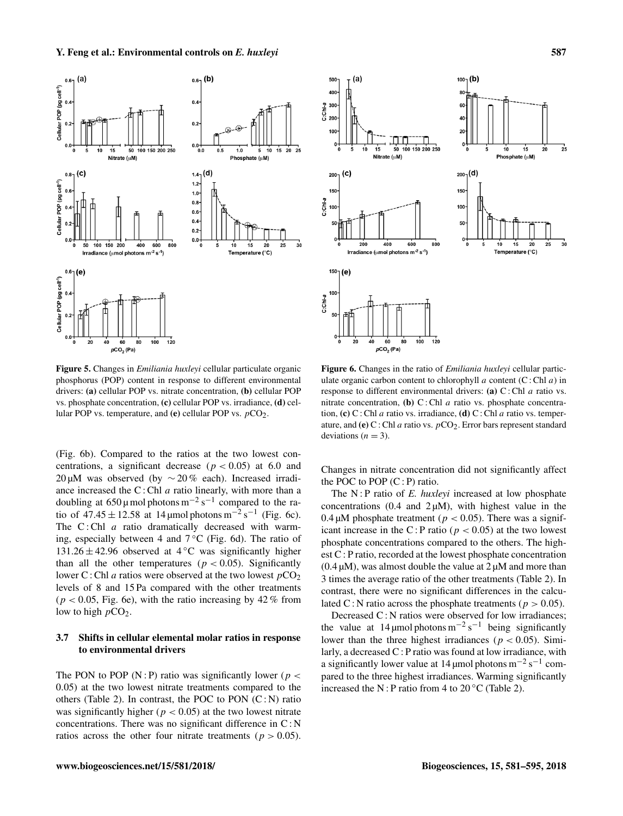

Figure 5. Changes in *Emiliania huxleyi* cellular particulate organic phosphorus (POP) content in response to different environmental drivers: (a) cellular POP vs. nitrate concentration, (b) cellular POP vs. phosphate concentration, (c) cellular POP vs. irradiance, (d) cellular POP vs. temperature, and (e) cellular POP vs.  $pCO<sub>2</sub>$ .

(Fig. 6b). Compared to the ratios at the two lowest concentrations, a significant decrease ( $p < 0.05$ ) at 6.0 and 20 µM was observed (by ∼ 20 % each). Increased irradiance increased the  $C$ : Chl  $a$  ratio linearly, with more than a doubling at  $650 \mu$  mol photons m<sup>-2</sup> s<sup>-1</sup> compared to the ratio of  $47.45 \pm 12.58$  at 14 µmol photons m<sup>-2</sup> s<sup>-1</sup> (Fig. 6c). The  $C:$  Chl  $a$  ratio dramatically decreased with warming, especially between 4 and  $7^{\circ}$ C (Fig. 6d). The ratio of 131.26  $\pm$  42.96 observed at 4 °C was significantly higher than all the other temperatures ( $p < 0.05$ ). Significantly lower C : Chl *a* ratios were observed at the two lowest  $pCO<sub>2</sub>$ levels of 8 and 15 Pa compared with the other treatments  $(p < 0.05$ , Fig. 6e), with the ratio increasing by 42 % from low to high  $pCO<sub>2</sub>$ .

# 3.7 Shifts in cellular elemental molar ratios in response to environmental drivers

The PON to POP (N : P) ratio was significantly lower ( $p <$ 0.05) at the two lowest nitrate treatments compared to the others (Table 2). In contrast, the POC to PON  $(C:N)$  ratio was significantly higher ( $p < 0.05$ ) at the two lowest nitrate concentrations. There was no significant difference in C : N ratios across the other four nitrate treatments ( $p > 0.05$ ).



Figure 6. Changes in the ratio of *Emiliania huxleyi* cellular particulate organic carbon content to chlorophyll  $a$  content (C : Chl  $a$ ) in response to different environmental drivers: (a)  $C$ : Chl  $a$  ratio vs. nitrate concentration, (b) C: Chl  $a$  ratio vs. phosphate concentration, (c) C : Chl a ratio vs. irradiance, (d) C : Chl a ratio vs. temperature, and (e) C : Chl a ratio vs.  $pCO<sub>2</sub>$ . Error bars represent standard deviations ( $n = 3$ ).

Changes in nitrate concentration did not significantly affect the POC to POP  $(C : P)$  ratio.

The N : P ratio of *E. huxleyi* increased at low phosphate concentrations  $(0.4 \text{ and } 2 \mu\text{M})$ , with highest value in the 0.4  $\mu$ M phosphate treatment ( $p < 0.05$ ). There was a significant increase in the C : P ratio ( $p < 0.05$ ) at the two lowest phosphate concentrations compared to the others. The highest C : P ratio, recorded at the lowest phosphate concentration  $(0.4 \mu M)$ , was almost double the value at  $2 \mu M$  and more than 3 times the average ratio of the other treatments (Table 2). In contrast, there were no significant differences in the calculated C : N ratio across the phosphate treatments ( $p > 0.05$ ).

Decreased C: N ratios were observed for low irradiances: the value at 14 µmol photons  $m^{-2} s^{-1}$  being significantly lower than the three highest irradiances ( $p < 0.05$ ). Similarly, a decreased C : P ratio was found at low irradiance, with a significantly lower value at 14 µmol photons  $m^{-2} s^{-1}$  compared to the three highest irradiances. Warming significantly increased the N : P ratio from 4 to  $20^{\circ}$ C (Table 2).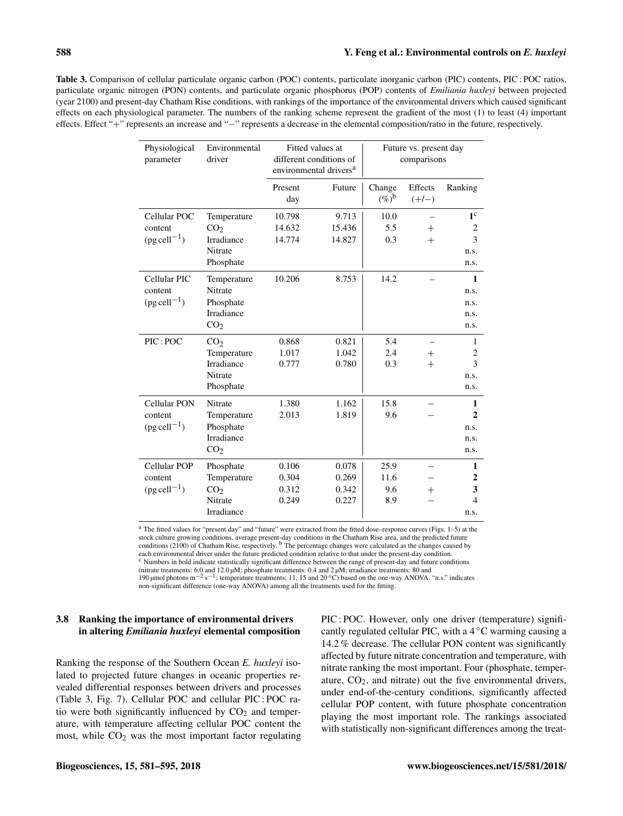Table 3. Comparison of cellular particulate organic carbon (POC) contents, particulate inorganic carbon (PIC) contents, PIC : POC ratios, particulate organic nitrogen (PON) contents, and particulate organic phosphorus (POP) contents of *Emiliania huxleyi* between projected (year 2100) and present-day Chatham Rise conditions, with rankings of the importance of the environmental drivers which caused significant effects on each physiological parameter. The numbers of the ranking scheme represent the gradient of the most (1) to least (4) important effects. Effect "+" represents an increase and "−" represents a decrease in the elemental composition/ratio in the future, respectively.

| Physiological<br>parameter                         | Environmental<br>driver | Fitted values at<br>different conditions of<br>environmental drivers <sup>a</sup> |        | Future vs. present day<br>comparisons |                    |                |
|----------------------------------------------------|-------------------------|-----------------------------------------------------------------------------------|--------|---------------------------------------|--------------------|----------------|
|                                                    |                         | Present<br>day                                                                    | Future | Change<br>$(\%)^{\mathsf{b}}$         | Effects<br>$(+/-)$ | Ranking        |
| Cellular POC                                       | Temperature             | 10.798                                                                            | 9.713  | 10.0                                  |                    | 1 <sup>c</sup> |
| content                                            | CO <sub>2</sub>         | 14.632                                                                            | 15.436 | 5.5                                   | $^{+}$             | 2              |
| $(\text{pg cell}^{-1})$                            | Irradiance              | 14.774                                                                            | 14.827 | 0.3                                   | $^{+}$             | 3              |
|                                                    | Nitrate                 |                                                                                   |        |                                       |                    | n.s.           |
|                                                    | Phosphate               |                                                                                   |        |                                       |                    | n.s.           |
| Cellular PIC                                       | Temperature             | 10.206                                                                            | 8.753  | 14.2                                  |                    | 1              |
| content                                            | Nitrate                 |                                                                                   |        |                                       |                    | n.s.           |
| $(\text{pg cell}^{-1})$                            | Phosphate               |                                                                                   |        |                                       |                    | n.s.           |
|                                                    | <b>Irradiance</b>       |                                                                                   |        |                                       |                    | n.s.           |
|                                                    | CO <sub>2</sub>         |                                                                                   |        |                                       |                    | n.s.           |
| PIC: POC                                           | CO <sub>2</sub>         | 0.868                                                                             | 0.821  | 5.4                                   |                    | 1              |
|                                                    | Temperature             | 1.017                                                                             | 1.042  | 2.4                                   | $^{+}$             | 2              |
|                                                    | <b>Irradiance</b>       | 0.777                                                                             | 0.780  | 0.3                                   | $^{+}$             | 3              |
|                                                    | Nitrate                 |                                                                                   |        |                                       |                    | n.s.           |
|                                                    | Phosphate               |                                                                                   |        |                                       |                    | n.s.           |
| <b>Cellular PON</b>                                | Nitrate                 | 1.380                                                                             | 1.162  | 15.8                                  |                    | 1              |
| content                                            | Temperature             | 2.013                                                                             | 1.819  | 9.6                                   |                    | $\mathbf{2}$   |
| $(\text{pg cell}^{-1})$                            | Phosphate               |                                                                                   |        |                                       |                    | n.s.           |
|                                                    | Irradiance              |                                                                                   |        |                                       |                    | n.s.           |
|                                                    | CO <sub>2</sub>         |                                                                                   |        |                                       |                    | n.s.           |
| Cellular POP<br>content<br>$(\text{pg cell}^{-1})$ | Phosphate               | 0.106                                                                             | 0.078  | 25.9                                  |                    | 1              |
|                                                    | Temperature             | 0.304                                                                             | 0.269  | 11.6                                  |                    | $\mathbf{2}$   |
|                                                    | CO <sub>2</sub>         | 0.312                                                                             | 0.342  | 9.6                                   | $^{+}$             | 3              |
|                                                    | Nitrate                 | 0.249                                                                             | 0.227  | 8.9                                   |                    | 4              |
|                                                    | Irradiance              |                                                                                   |        |                                       |                    | n.s.           |

<sup>a</sup> The fitted values for "present day" and "future" were extracted from the fitted dose–response curves (Figs. 1–5) at the stock culture growing conditions, average present-day conditions in the Chatham Rise area, and the predicted future<br>conditions (2100) of Chatham Rise, respectively. <sup>b</sup> The percentage changes were calculated as the changes each environmental driver under the future predicted condition relative to that under the present-day condition.<br><sup>c</sup> Numbers in bold indicate statistically significant difference between the range of present-day and future

(nitrate treatments: 6.0 and 12.0 μM; phosphate treatments: 0.4 and 2 μM; irradiance treatments: 80 and<br>190 μmol photons m<sup>-2</sup> s<sup>-1</sup>; temperature treatments: 11, 15 and 20 °C) based on the one-way ANOVA. "n.s." indicates

non-significant difference (one-way ANOVA) among all the treatments used for the fitting.

# 3.8 Ranking the importance of environmental drivers in altering *Emiliania huxleyi* elemental composition

Ranking the response of the Southern Ocean *E. huxleyi* isolated to projected future changes in oceanic properties revealed differential responses between drivers and processes (Table 3, Fig. 7). Cellular POC and cellular PIC : POC ratio were both significantly influenced by  $CO<sub>2</sub>$  and temperature, with temperature affecting cellular POC content the most, while  $CO<sub>2</sub>$  was the most important factor regulating PIC : POC. However, only one driver (temperature) significantly regulated cellular PIC, with a  $4^{\circ}$ C warming causing a 14.2 % decrease. The cellular PON content was significantly affected by future nitrate concentration and temperature, with nitrate ranking the most important. Four (phosphate, temperature,  $CO<sub>2</sub>$ , and nitrate) out the five environmental drivers, under end-of-the-century conditions, significantly affected cellular POP content, with future phosphate concentration playing the most important role. The rankings associated with statistically non-significant differences among the treat-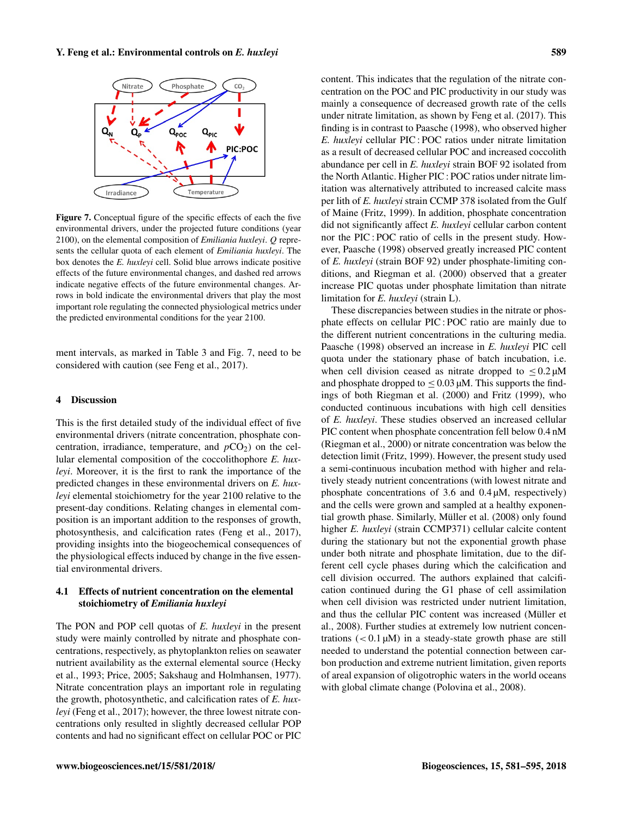

Figure 7. Conceptual figure of the specific effects of each the five environmental drivers, under the projected future conditions (year 2100), on the elemental composition of *Emiliania huxleyi*. Q represents the cellular quota of each element of *Emiliania huxleyi*. The box denotes the *E. huxleyi* cell. Solid blue arrows indicate positive effects of the future environmental changes, and dashed red arrows indicate negative effects of the future environmental changes. Arrows in bold indicate the environmental drivers that play the most important role regulating the connected physiological metrics under the predicted environmental conditions for the year 2100.

ment intervals, as marked in Table 3 and Fig. 7, need to be considered with caution (see Feng et al., 2017).

#### 4 Discussion

This is the first detailed study of the individual effect of five environmental drivers (nitrate concentration, phosphate concentration, irradiance, temperature, and  $pCO<sub>2</sub>$ ) on the cellular elemental composition of the coccolithophore *E. huxleyi*. Moreover, it is the first to rank the importance of the predicted changes in these environmental drivers on *E. huxleyi* elemental stoichiometry for the year 2100 relative to the present-day conditions. Relating changes in elemental composition is an important addition to the responses of growth, photosynthesis, and calcification rates (Feng et al., 2017), providing insights into the biogeochemical consequences of the physiological effects induced by change in the five essential environmental drivers.

#### 4.1 Effects of nutrient concentration on the elemental stoichiometry of *Emiliania huxleyi*

The PON and POP cell quotas of *E. huxleyi* in the present study were mainly controlled by nitrate and phosphate concentrations, respectively, as phytoplankton relies on seawater nutrient availability as the external elemental source (Hecky et al., 1993; Price, 2005; Sakshaug and Holmhansen, 1977). Nitrate concentration plays an important role in regulating the growth, photosynthetic, and calcification rates of *E. huxleyi* (Feng et al., 2017); however, the three lowest nitrate concentrations only resulted in slightly decreased cellular POP contents and had no significant effect on cellular POC or PIC content. This indicates that the regulation of the nitrate concentration on the POC and PIC productivity in our study was mainly a consequence of decreased growth rate of the cells under nitrate limitation, as shown by Feng et al. (2017). This finding is in contrast to Paasche (1998), who observed higher *E. huxleyi* cellular PIC : POC ratios under nitrate limitation as a result of decreased cellular POC and increased coccolith abundance per cell in *E. huxleyi* strain BOF 92 isolated from the North Atlantic. Higher PIC : POC ratios under nitrate limitation was alternatively attributed to increased calcite mass per lith of *E. huxleyi* strain CCMP 378 isolated from the Gulf of Maine (Fritz, 1999). In addition, phosphate concentration did not significantly affect *E. huxleyi* cellular carbon content nor the PIC : POC ratio of cells in the present study. However, Paasche (1998) observed greatly increased PIC content of *E. huxleyi* (strain BOF 92) under phosphate-limiting conditions, and Riegman et al. (2000) observed that a greater increase PIC quotas under phosphate limitation than nitrate limitation for *E. huxleyi* (strain L).

These discrepancies between studies in the nitrate or phosphate effects on cellular PIC : POC ratio are mainly due to the different nutrient concentrations in the culturing media. Paasche (1998) observed an increase in *E. huxleyi* PIC cell quota under the stationary phase of batch incubation, i.e. when cell division ceased as nitrate dropped to  $\leq 0.2 \mu M$ and phosphate dropped to  $\leq 0.03 \mu M$ . This supports the findings of both Riegman et al. (2000) and Fritz (1999), who conducted continuous incubations with high cell densities of *E. huxleyi*. These studies observed an increased cellular PIC content when phosphate concentration fell below 0.4 nM (Riegman et al., 2000) or nitrate concentration was below the detection limit (Fritz, 1999). However, the present study used a semi-continuous incubation method with higher and relatively steady nutrient concentrations (with lowest nitrate and phosphate concentrations of 3.6 and 0.4 µM, respectively) and the cells were grown and sampled at a healthy exponential growth phase. Similarly, Müller et al. (2008) only found higher *E. huxleyi* (strain CCMP371) cellular calcite content during the stationary but not the exponential growth phase under both nitrate and phosphate limitation, due to the different cell cycle phases during which the calcification and cell division occurred. The authors explained that calcification continued during the G1 phase of cell assimilation when cell division was restricted under nutrient limitation, and thus the cellular PIC content was increased (Müller et al., 2008). Further studies at extremely low nutrient concentrations  $(< 0.1 \mu M$ ) in a steady-state growth phase are still needed to understand the potential connection between carbon production and extreme nutrient limitation, given reports of areal expansion of oligotrophic waters in the world oceans with global climate change (Polovina et al., 2008).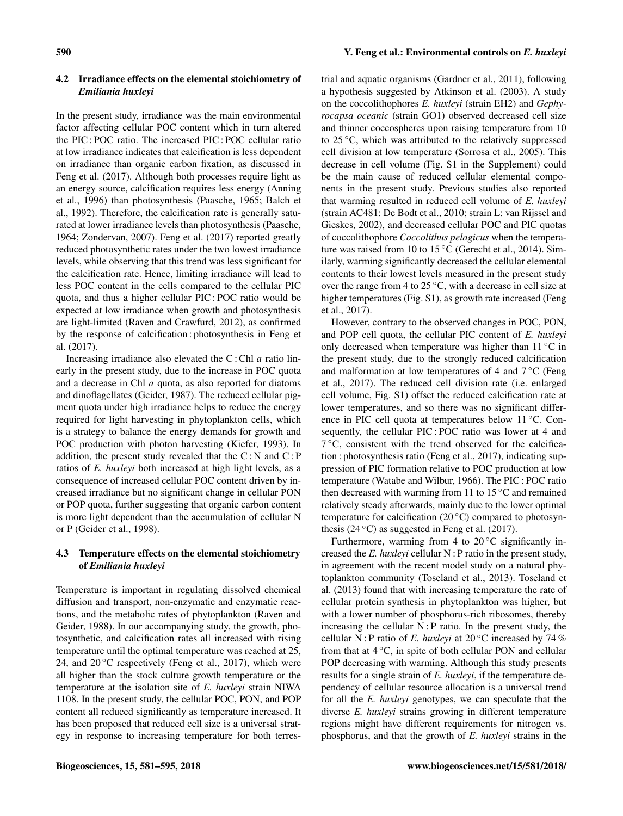# 4.2 Irradiance effects on the elemental stoichiometry of *Emiliania huxleyi*

In the present study, irradiance was the main environmental factor affecting cellular POC content which in turn altered the PIC : POC ratio. The increased PIC : POC cellular ratio at low irradiance indicates that calcification is less dependent on irradiance than organic carbon fixation, as discussed in Feng et al. (2017). Although both processes require light as an energy source, calcification requires less energy (Anning et al., 1996) than photosynthesis (Paasche, 1965; Balch et al., 1992). Therefore, the calcification rate is generally saturated at lower irradiance levels than photosynthesis (Paasche, 1964; Zondervan, 2007). Feng et al. (2017) reported greatly reduced photosynthetic rates under the two lowest irradiance levels, while observing that this trend was less significant for the calcification rate. Hence, limiting irradiance will lead to less POC content in the cells compared to the cellular PIC quota, and thus a higher cellular PIC : POC ratio would be expected at low irradiance when growth and photosynthesis are light-limited (Raven and Crawfurd, 2012), as confirmed by the response of calcification : photosynthesis in Feng et al. (2017).

Increasing irradiance also elevated the  $C$ : Chl  $a$  ratio linearly in the present study, due to the increase in POC quota and a decrease in Chl a quota, as also reported for diatoms and dinoflagellates (Geider, 1987). The reduced cellular pigment quota under high irradiance helps to reduce the energy required for light harvesting in phytoplankton cells, which is a strategy to balance the energy demands for growth and POC production with photon harvesting (Kiefer, 1993). In addition, the present study revealed that the  $C: N$  and  $C: P$ ratios of *E. huxleyi* both increased at high light levels, as a consequence of increased cellular POC content driven by increased irradiance but no significant change in cellular PON or POP quota, further suggesting that organic carbon content is more light dependent than the accumulation of cellular N or P (Geider et al., 1998).

# 4.3 Temperature effects on the elemental stoichiometry of *Emiliania huxleyi*

Temperature is important in regulating dissolved chemical diffusion and transport, non-enzymatic and enzymatic reactions, and the metabolic rates of phytoplankton (Raven and Geider, 1988). In our accompanying study, the growth, photosynthetic, and calcification rates all increased with rising temperature until the optimal temperature was reached at 25, 24, and  $20^{\circ}$ C respectively (Feng et al., 2017), which were all higher than the stock culture growth temperature or the temperature at the isolation site of *E. huxleyi* strain NIWA 1108. In the present study, the cellular POC, PON, and POP content all reduced significantly as temperature increased. It has been proposed that reduced cell size is a universal strategy in response to increasing temperature for both terrestrial and aquatic organisms (Gardner et al., 2011), following a hypothesis suggested by Atkinson et al. (2003). A study on the coccolithophores *E. huxleyi* (strain EH2) and *Gephyrocapsa oceanic* (strain GO1) observed decreased cell size and thinner coccospheres upon raising temperature from 10 to 25 °C, which was attributed to the relatively suppressed cell division at low temperature (Sorrosa et al., 2005). This decrease in cell volume (Fig. S1 in the Supplement) could be the main cause of reduced cellular elemental components in the present study. Previous studies also reported that warming resulted in reduced cell volume of *E. huxleyi* (strain AC481: De Bodt et al., 2010; strain L: van Rijssel and Gieskes, 2002), and decreased cellular POC and PIC quotas of coccolithophore *Coccolithus pelagicus* when the temperature was raised from 10 to 15 ◦C (Gerecht et al., 2014). Similarly, warming significantly decreased the cellular elemental contents to their lowest levels measured in the present study over the range from 4 to  $25^{\circ}$ C, with a decrease in cell size at higher temperatures (Fig. S1), as growth rate increased (Feng) et al., 2017).

However, contrary to the observed changes in POC, PON, and POP cell quota, the cellular PIC content of *E. huxleyi* only decreased when temperature was higher than  $11\,^{\circ}\text{C}$  in the present study, due to the strongly reduced calcification and malformation at low temperatures of 4 and  $7^{\circ}$ C (Feng et al., 2017). The reduced cell division rate (i.e. enlarged cell volume, Fig. S1) offset the reduced calcification rate at lower temperatures, and so there was no significant difference in PIC cell quota at temperatures below 11 ◦C. Consequently, the cellular PIC : POC ratio was lower at 4 and 7 ◦C, consistent with the trend observed for the calcification : photosynthesis ratio (Feng et al., 2017), indicating suppression of PIC formation relative to POC production at low temperature (Watabe and Wilbur, 1966). The PIC : POC ratio then decreased with warming from 11 to  $15\,^{\circ}\text{C}$  and remained relatively steady afterwards, mainly due to the lower optimal temperature for calcification (20 $\degree$ C) compared to photosynthesis (24  $\degree$ C) as suggested in Feng et al. (2017).

Furthermore, warming from 4 to  $20^{\circ}$ C significantly increased the *E. huxleyi* cellular N : P ratio in the present study, in agreement with the recent model study on a natural phytoplankton community (Toseland et al., 2013). Toseland et al. (2013) found that with increasing temperature the rate of cellular protein synthesis in phytoplankton was higher, but with a lower number of phosphorus-rich ribosomes, thereby increasing the cellular  $N$ : P ratio. In the present study, the cellular N : P ratio of *E. huxleyi* at 20 ◦C increased by 74 % from that at  $4^\circ$ C, in spite of both cellular PON and cellular POP decreasing with warming. Although this study presents results for a single strain of *E. huxleyi*, if the temperature dependency of cellular resource allocation is a universal trend for all the *E. huxleyi* genotypes, we can speculate that the diverse *E. huxleyi* strains growing in different temperature regions might have different requirements for nitrogen vs. phosphorus, and that the growth of *E. huxleyi* strains in the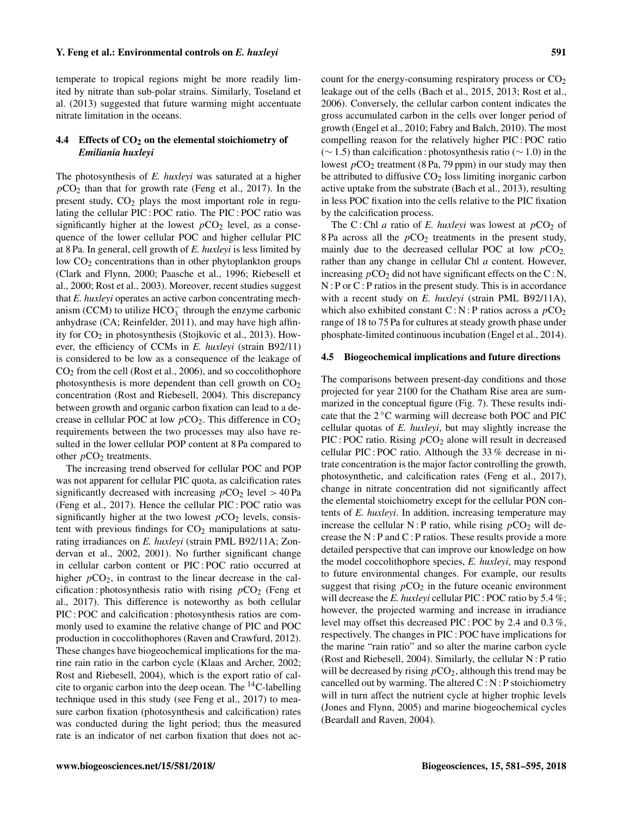temperate to tropical regions might be more readily limited by nitrate than sub-polar strains. Similarly, Toseland et al. (2013) suggested that future warming might accentuate nitrate limitation in the oceans.

#### 4.4 Effects of  $CO<sub>2</sub>$  on the elemental stoichiometry of *Emiliania huxleyi*

The photosynthesis of *E. huxleyi* was saturated at a higher  $pCO<sub>2</sub>$  than that for growth rate (Feng et al., 2017). In the present study,  $CO<sub>2</sub>$  plays the most important role in regulating the cellular PIC : POC ratio. The PIC : POC ratio was significantly higher at the lowest  $pCO<sub>2</sub>$  level, as a consequence of the lower cellular POC and higher cellular PIC at 8 Pa. In general, cell growth of *E. huxleyi* is less limited by low  $CO<sub>2</sub>$  concentrations than in other phytoplankton groups (Clark and Flynn, 2000; Paasche et al., 1996; Riebesell et al., 2000; Rost et al., 2003). Moreover, recent studies suggest that *E. huxleyi* operates an active carbon concentrating mechanism (CCM) to utilize  $HCO_3^-$  through the enzyme carbonic anhydrase (CA; Reinfelder, 2011), and may have high affinity for  $CO<sub>2</sub>$  in photosynthesis (Stojkovic et al., 2013). However, the efficiency of CCMs in *E. huxleyi* (strain B92/11) is considered to be low as a consequence of the leakage of CO<sup>2</sup> from the cell (Rost et al., 2006), and so coccolithophore photosynthesis is more dependent than cell growth on  $CO<sub>2</sub>$ concentration (Rost and Riebesell, 2004). This discrepancy between growth and organic carbon fixation can lead to a decrease in cellular POC at low  $pCO_2$ . This difference in  $CO_2$ requirements between the two processes may also have resulted in the lower cellular POP content at 8 Pa compared to other  $pCO<sub>2</sub>$  treatments.

The increasing trend observed for cellular POC and POP was not apparent for cellular PIC quota, as calcification rates significantly decreased with increasing  $pCO<sub>2</sub>$  level  $> 40$  Pa (Feng et al., 2017). Hence the cellular PIC : POC ratio was significantly higher at the two lowest  $pCO<sub>2</sub>$  levels, consistent with previous findings for  $CO<sub>2</sub>$  manipulations at saturating irradiances on *E. huxleyi* (strain PML B92/11A; Zondervan et al., 2002, 2001). No further significant change in cellular carbon content or PIC : POC ratio occurred at higher  $pCO<sub>2</sub>$ , in contrast to the linear decrease in the calcification : photosynthesis ratio with rising  $pCO<sub>2</sub>$  (Feng et al., 2017). This difference is noteworthy as both cellular PIC : POC and calcification : photosynthesis ratios are commonly used to examine the relative change of PIC and POC production in coccolithophores (Raven and Crawfurd, 2012). These changes have biogeochemical implications for the marine rain ratio in the carbon cycle (Klaas and Archer, 2002; Rost and Riebesell, 2004), which is the export ratio of calcite to organic carbon into the deep ocean. The  $^{14}$ C-labelling technique used in this study (see Feng et al., 2017) to measure carbon fixation (photosynthesis and calcification) rates was conducted during the light period; thus the measured rate is an indicator of net carbon fixation that does not account for the energy-consuming respiratory process or  $CO<sub>2</sub>$ leakage out of the cells (Bach et al., 2015, 2013; Rost et al., 2006). Conversely, the cellular carbon content indicates the gross accumulated carbon in the cells over longer period of growth (Engel et al., 2010; Fabry and Balch, 2010). The most compelling reason for the relatively higher PIC : POC ratio (∼ 1.5) than calcification : photosynthesis ratio (∼ 1.0) in the lowest  $pCO_2$  treatment (8 Pa, 79 ppm) in our study may then be attributed to diffusive  $CO<sub>2</sub>$  loss limiting inorganic carbon active uptake from the substrate (Bach et al., 2013), resulting in less POC fixation into the cells relative to the PIC fixation by the calcification process.

The C: Chl *a* ratio of *E. huxleyi* was lowest at  $pCO<sub>2</sub>$  of 8 Pa across all the  $pCO<sub>2</sub>$  treatments in the present study, mainly due to the decreased cellular POC at low  $pCO<sub>2</sub>$ , rather than any change in cellular Chl a content. However, increasing  $pCO_2$  did not have significant effects on the C:N, N : P or C : P ratios in the present study. This is in accordance with a recent study on *E. huxleyi* (strain PML B92/11A), which also exhibited constant C: N: P ratios across a  $pCO<sub>2</sub>$ range of 18 to 75 Pa for cultures at steady growth phase under phosphate-limited continuous incubation (Engel et al., 2014).

#### 4.5 Biogeochemical implications and future directions

The comparisons between present-day conditions and those projected for year 2100 for the Chatham Rise area are summarized in the conceptual figure (Fig. 7). These results indicate that the 2 ◦C warming will decrease both POC and PIC cellular quotas of *E. huxleyi*, but may slightly increase the  $\text{PIC}: \text{POC}$  ratio. Rising  $p \text{CO}_2$  alone will result in decreased cellular PIC : POC ratio. Although the 33 % decrease in nitrate concentration is the major factor controlling the growth, photosynthetic, and calcification rates (Feng et al., 2017), change in nitrate concentration did not significantly affect the elemental stoichiometry except for the cellular PON contents of *E. huxleyi*. In addition, increasing temperature may increase the cellular N : P ratio, while rising  $pCO<sub>2</sub>$  will decrease the N : P and C : P ratios. These results provide a more detailed perspective that can improve our knowledge on how the model coccolithophore species, *E. huxleyi*, may respond to future environmental changes. For example, our results suggest that rising  $pCO<sub>2</sub>$  in the future oceanic environment will decrease the *E. huxleyi* cellular PIC : POC ratio by 5.4 %; however, the projected warming and increase in irradiance level may offset this decreased PIC : POC by 2.4 and 0.3 %, respectively. The changes in PIC : POC have implications for the marine "rain ratio" and so alter the marine carbon cycle (Rost and Riebesell, 2004). Similarly, the cellular N : P ratio will be decreased by rising  $pCO<sub>2</sub>$ , although this trend may be cancelled out by warming. The altered  $C : N : P$  stoichiometry will in turn affect the nutrient cycle at higher trophic levels (Jones and Flynn, 2005) and marine biogeochemical cycles (Beardall and Raven, 2004).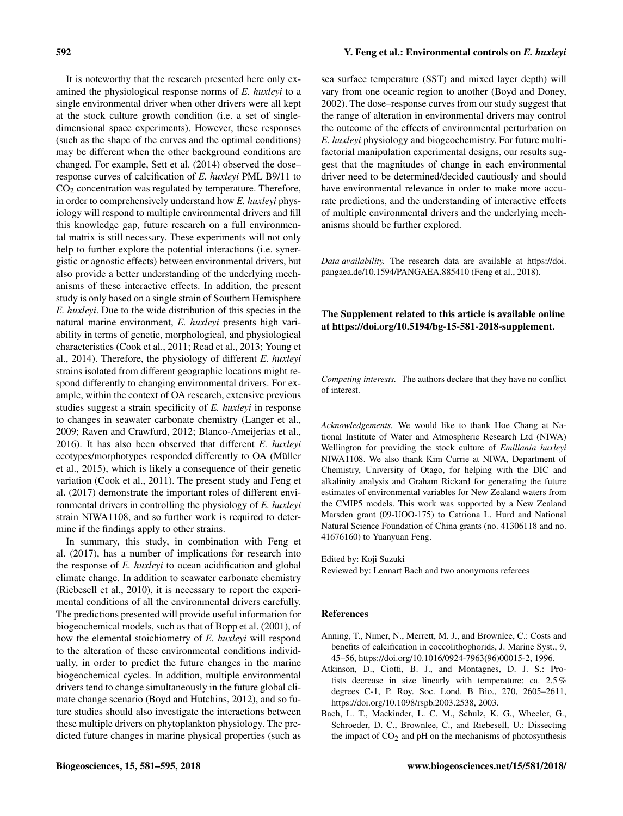It is noteworthy that the research presented here only examined the physiological response norms of *E. huxleyi* to a single environmental driver when other drivers were all kept at the stock culture growth condition (i.e. a set of singledimensional space experiments). However, these responses (such as the shape of the curves and the optimal conditions) may be different when the other background conditions are changed. For example, Sett et al. (2014) observed the dose– response curves of calcification of *E. huxleyi* PML B9/11 to  $CO<sub>2</sub>$  concentration was regulated by temperature. Therefore, in order to comprehensively understand how *E. huxleyi* physiology will respond to multiple environmental drivers and fill this knowledge gap, future research on a full environmental matrix is still necessary. These experiments will not only help to further explore the potential interactions (i.e. synergistic or agnostic effects) between environmental drivers, but also provide a better understanding of the underlying mechanisms of these interactive effects. In addition, the present study is only based on a single strain of Southern Hemisphere *E. huxleyi*. Due to the wide distribution of this species in the natural marine environment, *E. huxleyi* presents high variability in terms of genetic, morphological, and physiological characteristics (Cook et al., 2011; Read et al., 2013; Young et al., 2014). Therefore, the physiology of different *E. huxleyi* strains isolated from different geographic locations might respond differently to changing environmental drivers. For example, within the context of OA research, extensive previous studies suggest a strain specificity of *E. huxleyi* in response to changes in seawater carbonate chemistry (Langer et al., 2009; Raven and Crawfurd, 2012; Blanco-Ameijerias et al., 2016). It has also been observed that different *E. huxleyi* ecotypes/morphotypes responded differently to OA (Müller et al., 2015), which is likely a consequence of their genetic variation (Cook et al., 2011). The present study and Feng et al. (2017) demonstrate the important roles of different environmental drivers in controlling the physiology of *E. huxleyi* strain NIWA1108, and so further work is required to determine if the findings apply to other strains.

In summary, this study, in combination with Feng et al. (2017), has a number of implications for research into the response of *E. huxleyi* to ocean acidification and global climate change. In addition to seawater carbonate chemistry (Riebesell et al., 2010), it is necessary to report the experimental conditions of all the environmental drivers carefully. The predictions presented will provide useful information for biogeochemical models, such as that of Bopp et al. (2001), of how the elemental stoichiometry of *E. huxleyi* will respond to the alteration of these environmental conditions individually, in order to predict the future changes in the marine biogeochemical cycles. In addition, multiple environmental drivers tend to change simultaneously in the future global climate change scenario (Boyd and Hutchins, 2012), and so future studies should also investigate the interactions between these multiple drivers on phytoplankton physiology. The predicted future changes in marine physical properties (such as

# 592 Y. Feng et al.: Environmental controls on *E. huxleyi*

sea surface temperature (SST) and mixed layer depth) will vary from one oceanic region to another (Boyd and Doney, 2002). The dose–response curves from our study suggest that the range of alteration in environmental drivers may control the outcome of the effects of environmental perturbation on *E. huxleyi* physiology and biogeochemistry. For future multifactorial manipulation experimental designs, our results suggest that the magnitudes of change in each environmental driver need to be determined/decided cautiously and should have environmental relevance in order to make more accurate predictions, and the understanding of interactive effects of multiple environmental drivers and the underlying mechanisms should be further explored.

*Data availability.* The research data are available at [https://doi.](https://doi.pangaea.de/10.1594/PANGAEA.885410) [pangaea.de/10.1594/PANGAEA.885410](https://doi.pangaea.de/10.1594/PANGAEA.885410) (Feng et al., 2018).

# The Supplement related to this article is available online at [https://doi.org/10.5194/bg-15-581-2018-supplement.](https://doi.org/10.5194/bg-15-581-2018-supplement)

*Competing interests.* The authors declare that they have no conflict of interest.

*Acknowledgements.* We would like to thank Hoe Chang at National Institute of Water and Atmospheric Research Ltd (NIWA) Wellington for providing the stock culture of *Emiliania huxleyi* NIWA1108. We also thank Kim Currie at NIWA, Department of Chemistry, University of Otago, for helping with the DIC and alkalinity analysis and Graham Rickard for generating the future estimates of environmental variables for New Zealand waters from the CMIP5 models. This work was supported by a New Zealand Marsden grant (09-UOO-175) to Catriona L. Hurd and National Natural Science Foundation of China grants (no. 41306118 and no. 41676160) to Yuanyuan Feng.

Edited by: Koji Suzuki

Reviewed by: Lennart Bach and two anonymous referees

# References

- Anning, T., Nimer, N., Merrett, M. J., and Brownlee, C.: Costs and benefits of calcification in coccolithophorids, J. Marine Syst., 9, 45–56, https://doi.org[/10.1016/0924-7963\(96\)00015-2,](https://doi.org/10.1016/0924-7963(96)00015-2) 1996.
- Atkinson, D., Ciotti, B. J., and Montagnes, D. J. S.: Protists decrease in size linearly with temperature: ca. 2.5 % degrees C-1, P. Roy. Soc. Lond. B Bio., 270, 2605–2611, https://doi.org[/10.1098/rspb.2003.2538,](https://doi.org/10.1098/rspb.2003.2538) 2003.
- Bach, L. T., Mackinder, L. C. M., Schulz, K. G., Wheeler, G., Schroeder, D. C., Brownlee, C., and Riebesell, U.: Dissecting the impact of  $CO<sub>2</sub>$  and pH on the mechanisms of photosynthesis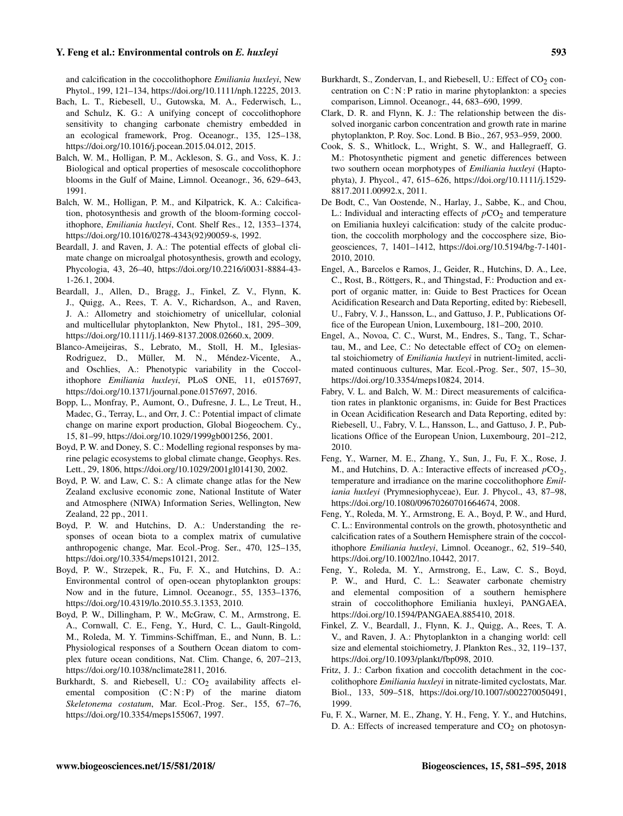- Bach, L. T., Riebesell, U., Gutowska, M. A., Federwisch, L., and Schulz, K. G.: A unifying concept of coccolithophore sensitivity to changing carbonate chemistry embedded in an ecological framework, Prog. Oceanogr., 135, 125–138, https://doi.org[/10.1016/j.pocean.2015.04.012,](https://doi.org/10.1016/j.pocean.2015.04.012) 2015.
- Balch, W. M., Holligan, P. M., Ackleson, S. G., and Voss, K. J.: Biological and optical properties of mesoscale coccolithophore blooms in the Gulf of Maine, Limnol. Oceanogr., 36, 629–643, 1991.
- Balch, W. M., Holligan, P. M., and Kilpatrick, K. A.: Calcification, photosynthesis and growth of the bloom-forming coccolithophore, *Emiliania huxleyi*, Cont. Shelf Res., 12, 1353–1374, https://doi.org[/10.1016/0278-4343\(92\)90059-s,](https://doi.org/10.1016/0278-4343(92)90059-s) 1992.
- Beardall, J. and Raven, J. A.: The potential effects of global climate change on microalgal photosynthesis, growth and ecology, Phycologia, 43, 26–40, https://doi.org[/10.2216/i0031-8884-43-](https://doi.org/10.2216/i0031-8884-43-1-26.1) [1-26.1,](https://doi.org/10.2216/i0031-8884-43-1-26.1) 2004.
- Beardall, J., Allen, D., Bragg, J., Finkel, Z. V., Flynn, K. J., Quigg, A., Rees, T. A. V., Richardson, A., and Raven, J. A.: Allometry and stoichiometry of unicellular, colonial and multicellular phytoplankton, New Phytol., 181, 295–309, https://doi.org[/10.1111/j.1469-8137.2008.02660.x,](https://doi.org/10.1111/j.1469-8137.2008.02660.x) 2009.
- Blanco-Ameijeiras, S., Lebrato, M., Stoll, H. M., Iglesias-Rodriguez, D., Müller, M. N., Méndez-Vicente, A., and Oschlies, A.: Phenotypic variability in the Coccolithophore *Emiliania huxleyi*, PLoS ONE, 11, e0157697, https://doi.org[/10.1371/journal.pone.0157697,](https://doi.org/10.1371/journal.pone.0157697) 2016.
- Bopp, L., Monfray, P., Aumont, O., Dufresne, J. L., Le Treut, H., Madec, G., Terray, L., and Orr, J. C.: Potential impact of climate change on marine export production, Global Biogeochem. Cy., 15, 81–99, https://doi.org[/10.1029/1999gb001256,](https://doi.org/10.1029/1999gb001256) 2001.
- Boyd, P. W. and Doney, S. C.: Modelling regional responses by marine pelagic ecosystems to global climate change, Geophys. Res. Lett., 29, 1806, https://doi.org[/10.1029/2001gl014130,](https://doi.org/10.1029/2001gl014130) 2002.
- Boyd, P. W. and Law, C. S.: A climate change atlas for the New Zealand exclusive economic zone, National Institute of Water and Atmosphere (NIWA) Information Series, Wellington, New Zealand, 22 pp., 2011.
- Boyd, P. W. and Hutchins, D. A.: Understanding the responses of ocean biota to a complex matrix of cumulative anthropogenic change, Mar. Ecol.-Prog. Ser., 470, 125–135, https://doi.org[/10.3354/meps10121,](https://doi.org/10.3354/meps10121) 2012.
- Boyd, P. W., Strzepek, R., Fu, F. X., and Hutchins, D. A.: Environmental control of open-ocean phytoplankton groups: Now and in the future, Limnol. Oceanogr., 55, 1353–1376, https://doi.org[/10.4319/lo.2010.55.3.1353,](https://doi.org/10.4319/lo.2010.55.3.1353) 2010.
- Boyd, P. W., Dillingham, P. W., McGraw, C. M., Armstrong, E. A., Cornwall, C. E., Feng, Y., Hurd, C. L., Gault-Ringold, M., Roleda, M. Y. Timmins-Schiffman, E., and Nunn, B. L.: Physiological responses of a Southern Ocean diatom to complex future ocean conditions, Nat. Clim. Change, 6, 207–213, https://doi.org[/10.1038/nclimate2811,](https://doi.org/10.1038/nclimate2811) 2016.
- Burkhardt, S. and Riebesell, U.:  $CO<sub>2</sub>$  availability affects elemental composition  $(C : N : P)$  of the marine diatom *Skeletonema costatum*, Mar. Ecol.-Prog. Ser., 155, 67–76, https://doi.org[/10.3354/meps155067,](https://doi.org/10.3354/meps155067) 1997.
- Burkhardt, S., Zondervan, I., and Riebesell, U.: Effect of CO<sub>2</sub> concentration on  $C : N : P$  ratio in marine phytoplankton: a species comparison, Limnol. Oceanogr., 44, 683–690, 1999.
- Clark, D. R. and Flynn, K. J.: The relationship between the dissolved inorganic carbon concentration and growth rate in marine phytoplankton, P. Roy. Soc. Lond. B Bio., 267, 953–959, 2000.
- Cook, S. S., Whitlock, L., Wright, S. W., and Hallegraeff, G. M.: Photosynthetic pigment and genetic differences between two southern ocean morphotypes of *Emiliania huxleyi* (Haptophyta), J. Phycol., 47, 615–626, https://doi.org[/10.1111/j.1529-](https://doi.org/10.1111/j.1529-8817.2011.00992.x) [8817.2011.00992.x,](https://doi.org/10.1111/j.1529-8817.2011.00992.x) 2011.
- De Bodt, C., Van Oostende, N., Harlay, J., Sabbe, K., and Chou, L.: Individual and interacting effects of  $pCO<sub>2</sub>$  and temperature on Emiliania huxleyi calcification: study of the calcite production, the coccolith morphology and the coccosphere size, Biogeosciences, 7, 1401–1412, https://doi.org[/10.5194/bg-7-1401-](https://doi.org/10.5194/bg-7-1401-2010) [2010,](https://doi.org/10.5194/bg-7-1401-2010) 2010.
- Engel, A., Barcelos e Ramos, J., Geider, R., Hutchins, D. A., Lee, C., Rost, B., Röttgers, R., and Thingstad, F.: Production and export of organic matter, in: Guide to Best Practices for Ocean Acidification Research and Data Reporting, edited by: Riebesell, U., Fabry, V. J., Hansson, L., and Gattuso, J. P., Publications Office of the European Union, Luxembourg, 181–200, 2010.
- Engel, A., Novoa, C. C., Wurst, M., Endres, S., Tang, T., Schartau, M., and Lee, C.: No detectable effect of  $CO<sub>2</sub>$  on elemental stoichiometry of *Emiliania huxleyi* in nutrient-limited, acclimated continuous cultures, Mar. Ecol.-Prog. Ser., 507, 15–30, https://doi.org[/10.3354/meps10824,](https://doi.org/10.3354/meps10824) 2014.
- Fabry, V. L. and Balch, W. M.: Direct measurements of calcification rates in planktonic organisms, in: Guide for Best Practices in Ocean Acidification Research and Data Reporting, edited by: Riebesell, U., Fabry, V. L., Hansson, L., and Gattuso, J. P., Publications Office of the European Union, Luxembourg, 201–212, 2010.
- Feng, Y., Warner, M. E., Zhang, Y., Sun, J., Fu, F. X., Rose, J. M., and Hutchins, D. A.: Interactive effects of increased  $pCO<sub>2</sub>$ , temperature and irradiance on the marine coccolithophore *Emiliania huxleyi* (Prymnesiophyceae), Eur. J. Phycol., 43, 87–98, https://doi.org[/10.1080/09670260701664674,](https://doi.org/10.1080/09670260701664674) 2008.
- Feng, Y., Roleda, M. Y., Armstrong, E. A., Boyd, P. W., and Hurd, C. L.: Environmental controls on the growth, photosynthetic and calcification rates of a Southern Hemisphere strain of the coccolithophore *Emiliania huxleyi*, Limnol. Oceanogr., 62, 519–540, https://doi.org[/10.1002/lno.10442,](https://doi.org/10.1002/lno.10442) 2017.
- Feng, Y., Roleda, M. Y., Armstrong, E., Law, C. S., Boyd, P. W., and Hurd, C. L.: Seawater carbonate chemistry and elemental composition of a southern hemisphere strain of coccolithophore Emiliania huxleyi, PANGAEA, https://doi.org[/10.1594/PANGAEA.885410,](https://doi.org/10.1594/PANGAEA.885410) 2018.
- Finkel, Z. V., Beardall, J., Flynn, K. J., Quigg, A., Rees, T. A. V., and Raven, J. A.: Phytoplankton in a changing world: cell size and elemental stoichiometry, J. Plankton Res., 32, 119–137, https://doi.org[/10.1093/plankt/fbp098,](https://doi.org/10.1093/plankt/fbp098) 2010.
- Fritz, J. J.: Carbon fixation and coccolith detachment in the coccolithophore *Emiliania huxleyi* in nitrate-limited cyclostats, Mar. Biol., 133, 509–518, https://doi.org[/10.1007/s002270050491,](https://doi.org/10.1007/s002270050491) 1999.
- Fu, F. X., Warner, M. E., Zhang, Y. H., Feng, Y. Y., and Hutchins, D. A.: Effects of increased temperature and  $CO<sub>2</sub>$  on photosyn-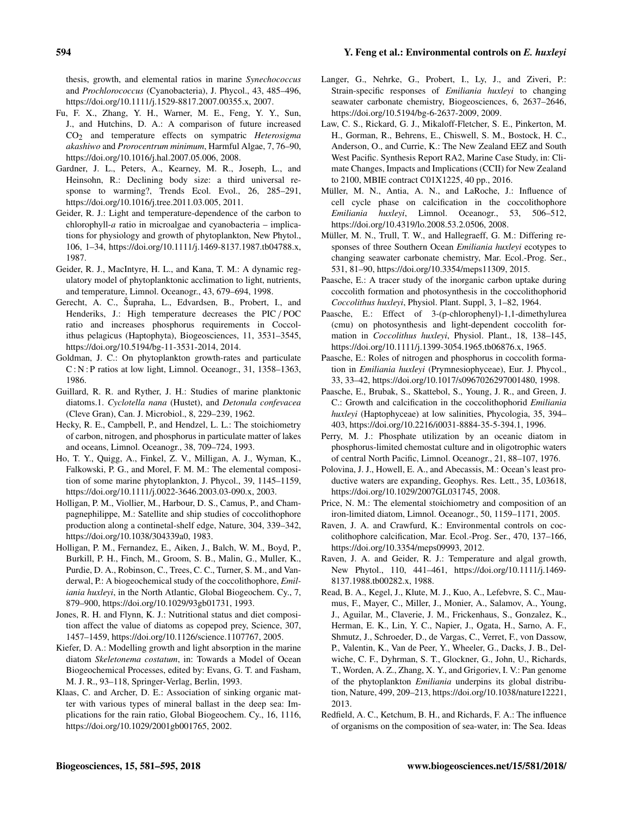thesis, growth, and elemental ratios in marine *Synechococcus* and *Prochlorococcus* (Cyanobacteria), J. Phycol., 43, 485–496, https://doi.org[/10.1111/j.1529-8817.2007.00355.x,](https://doi.org/10.1111/j.1529-8817.2007.00355.x) 2007.

- Fu, F. X., Zhang, Y. H., Warner, M. E., Feng, Y. Y., Sun, J., and Hutchins, D. A.: A comparison of future increased CO2 and temperature effects on sympatric *Heterosigma akashiwo* and *Prorocentrum minimum*, Harmful Algae, 7, 76–90, https://doi.org[/10.1016/j.hal.2007.05.006,](https://doi.org/10.1016/j.hal.2007.05.006) 2008.
- Gardner, J. L., Peters, A., Kearney, M. R., Joseph, L., and Heinsohn, R.: Declining body size: a third universal response to warming?, Trends Ecol. Evol., 26, 285–291, https://doi.org[/10.1016/j.tree.2011.03.005,](https://doi.org/10.1016/j.tree.2011.03.005) 2011.
- Geider, R. J.: Light and temperature-dependence of the carbon to chlorophyll- $a$  ratio in microalgae and cyanobacteria – implications for physiology and growth of phytoplankton, New Phytol., 106, 1–34, https://doi.org[/10.1111/j.1469-8137.1987.tb04788.x,](https://doi.org/10.1111/j.1469-8137.1987.tb04788.x) 1987.
- Geider, R. J., MacIntyre, H. L., and Kana, T. M.: A dynamic regulatory model of phytoplanktonic acclimation to light, nutrients, and temperature, Limnol. Oceanogr., 43, 679–694, 1998.
- Gerecht, A. C., Šupraha, L., Edvardsen, B., Probert, I., and Henderiks, J.: High temperature decreases the PIC/ POC ratio and increases phosphorus requirements in Coccolithus pelagicus (Haptophyta), Biogeosciences, 11, 3531–3545, https://doi.org[/10.5194/bg-11-3531-2014,](https://doi.org/10.5194/bg-11-3531-2014) 2014.
- Goldman, J. C.: On phytoplankton growth-rates and particulate C : N : P ratios at low light, Limnol. Oceanogr., 31, 1358–1363, 1986.
- Guillard, R. R. and Ryther, J. H.: Studies of marine planktonic diatoms.1. *Cyclotella nana* (Hustet), and *Detonula confevacea* (Cleve Gran), Can. J. Microbiol., 8, 229–239, 1962.
- Hecky, R. E., Campbell, P., and Hendzel, L. L.: The stoichiometry of carbon, nitrogen, and phosphorus in particulate matter of lakes and oceans, Limnol. Oceanogr., 38, 709–724, 1993.
- Ho, T. Y., Quigg, A., Finkel, Z. V., Milligan, A. J., Wyman, K., Falkowski, P. G., and Morel, F. M. M.: The elemental composition of some marine phytoplankton, J. Phycol., 39, 1145–1159, https://doi.org[/10.1111/j.0022-3646.2003.03-090.x,](https://doi.org/10.1111/j.0022-3646.2003.03-090.x) 2003.
- Holligan, P. M., Viollier, M., Harbour, D. S., Camus, P., and Champagnephilippe, M.: Satellite and ship studies of coccolithophore production along a continetal-shelf edge, Nature, 304, 339–342, https://doi.org[/10.1038/304339a0,](https://doi.org/10.1038/304339a0) 1983.
- Holligan, P. M., Fernandez, E., Aiken, J., Balch, W. M., Boyd, P., Burkill, P. H., Finch, M., Groom, S. B., Malin, G., Muller, K., Purdie, D. A., Robinson, C., Trees, C. C., Turner, S. M., and Vanderwal, P.: A biogeochemical study of the coccolithophore, *Emiliania huxleyi*, in the North Atlantic, Global Biogeochem. Cy., 7, 879–900, https://doi.org[/10.1029/93gb01731,](https://doi.org/10.1029/93gb01731) 1993.
- Jones, R. H. and Flynn, K. J.: Nutritional status and diet composition affect the value of diatoms as copepod prey, Science, 307, 1457–1459, https://doi.org[/10.1126/science.1107767,](https://doi.org/10.1126/science.1107767) 2005.
- Kiefer, D. A.: Modelling growth and light absorption in the marine diatom *Skeletonema costatum*, in: Towards a Model of Ocean Biogeochemical Processes, edited by: Evans, G. T. and Fasham, M. J. R., 93–118, Springer-Verlag, Berlin, 1993.
- Klaas, C. and Archer, D. E.: Association of sinking organic matter with various types of mineral ballast in the deep sea: Implications for the rain ratio, Global Biogeochem. Cy., 16, 1116, https://doi.org[/10.1029/2001gb001765,](https://doi.org/10.1029/2001gb001765) 2002.
- Langer, G., Nehrke, G., Probert, I., Ly, J., and Ziveri, P.: Strain-specific responses of *Emiliania huxleyi* to changing seawater carbonate chemistry, Biogeosciences, 6, 2637–2646, https://doi.org[/10.5194/bg-6-2637-2009,](https://doi.org/10.5194/bg-6-2637-2009) 2009.
- Law, C. S., Rickard, G. J., Mikaloff-Fletcher, S. E., Pinkerton, M. H., Gorman, R., Behrens, E., Chiswell, S. M., Bostock, H. C., Anderson, O., and Currie, K.: The New Zealand EEZ and South West Pacific. Synthesis Report RA2, Marine Case Study, in: Climate Changes, Impacts and Implications (CCII) for New Zealand to 2100, MBIE contract C01X1225, 40 pp., 2016.
- Müller, M. N., Antia, A. N., and LaRoche, J.: Influence of cell cycle phase on calcification in the coccolithophore *Emiliania huxleyi*, Limnol. Oceanogr., 53, 506–512, https://doi.org[/10.4319/lo.2008.53.2.0506,](https://doi.org/10.4319/lo.2008.53.2.0506) 2008.
- Müller, M. N., Trull, T. W., and Hallegraeff, G. M.: Differing responses of three Southern Ocean *Emiliania huxleyi* ecotypes to changing seawater carbonate chemistry, Mar. Ecol.-Prog. Ser., 531, 81–90, https://doi.org[/10.3354/meps11309,](https://doi.org/10.3354/meps11309) 2015.
- Paasche, E.: A tracer study of the inorganic carbon uptake during coccolith formation and photosynthesis in the coccolithophorid *Coccolithus huxleyi*, Physiol. Plant. Suppl, 3, 1–82, 1964.
- Paasche, E.: Effect of 3-(p-chlorophenyl)-1,1-dimethylurea (cmu) on photosynthesis and light-dependent coccolith formation in *Coccolithus huxleyi*, Physiol. Plant., 18, 138–145, https://doi.org[/10.1111/j.1399-3054.1965.tb06876.x,](https://doi.org/10.1111/j.1399-3054.1965.tb06876.x) 1965.
- Paasche, E.: Roles of nitrogen and phosphorus in coccolith formation in *Emiliania huxleyi* (Prymnesiophyceae), Eur. J. Phycol., 33, 33–42, https://doi.org[/10.1017/s0967026297001480,](https://doi.org/10.1017/s0967026297001480) 1998.
- Paasche, E., Brubak, S., Skattebol, S., Young, J. R., and Green, J. C.: Growth and calcification in the coccolithophorid *Emiliania huxleyi* (Haptophyceae) at low salinities, Phycologia, 35, 394– 403, https://doi.org[/10.2216/i0031-8884-35-5-394.1,](https://doi.org/10.2216/i0031-8884-35-5-394.1) 1996.
- Perry, M. J.: Phosphate utilization by an oceanic diatom in phosphorus-limited chemostat culture and in oligotrophic waters of central North Pacific, Limnol. Oceanogr., 21, 88–107, 1976.
- Polovina, J. J., Howell, E. A., and Abecassis, M.: Ocean's least productive waters are expanding, Geophys. Res. Lett., 35, L03618, https://doi.org[/10.1029/2007GL031745,](https://doi.org/10.1029/2007GL031745) 2008.
- Price, N. M.: The elemental stoichiometry and composition of an iron-limited diatom, Limnol. Oceanogr., 50, 1159–1171, 2005.
- Raven, J. A. and Crawfurd, K.: Environmental controls on coccolithophore calcification, Mar. Ecol.-Prog. Ser., 470, 137–166, https://doi.org[/10.3354/meps09993,](https://doi.org/10.3354/meps09993) 2012.
- Raven, J. A. and Geider, R. J.: Temperature and algal growth, New Phytol., 110, 441–461, https://doi.org[/10.1111/j.1469-](https://doi.org/10.1111/j.1469-8137.1988.tb00282.x) [8137.1988.tb00282.x,](https://doi.org/10.1111/j.1469-8137.1988.tb00282.x) 1988.
- Read, B. A., Kegel, J., Klute, M. J., Kuo, A., Lefebvre, S. C., Maumus, F., Mayer, C., Miller, J., Monier, A., Salamov, A., Young, J., Aguilar, M., Claverie, J. M., Frickenhaus, S., Gonzalez, K., Herman, E. K., Lin, Y. C., Napier, J., Ogata, H., Sarno, A. F., Shmutz, J., Schroeder, D., de Vargas, C., Verret, F., von Dassow, P., Valentin, K., Van de Peer, Y., Wheeler, G., Dacks, J. B., Delwiche, C. F., Dyhrman, S. T., Glockner, G., John, U., Richards, T., Worden, A. Z., Zhang, X. Y., and Grigoriev, I. V.: Pan genome of the phytoplankton *Emiliania* underpins its global distribution, Nature, 499, 209–213, https://doi.org[/10.1038/nature12221,](https://doi.org/10.1038/nature12221) 2013.
- Redfield, A. C., Ketchum, B. H., and Richards, F. A.: The influence of organisms on the composition of sea-water, in: The Sea. Ideas